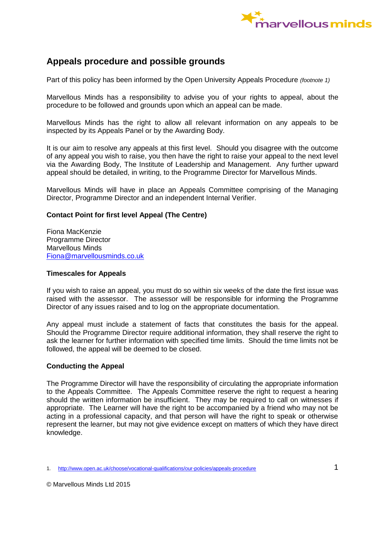

# **Appeals procedure and possible grounds**

Part of this policy has been informed by the Open University Appeals Procedure *(footnote 1)*

Marvellous Minds has a responsibility to advise you of your rights to appeal, about the procedure to be followed and grounds upon which an appeal can be made.

Marvellous Minds has the right to allow all relevant information on any appeals to be inspected by its Appeals Panel or by the Awarding Body.

It is our aim to resolve any appeals at this first level. Should you disagree with the outcome of any appeal you wish to raise, you then have the right to raise your appeal to the next level via the Awarding Body, The Institute of Leadership and Management. Any further upward appeal should be detailed, in writing, to the Programme Director for Marvellous Minds.

Marvellous Minds will have in place an Appeals Committee comprising of the Managing Director, Programme Director and an independent Internal Verifier.

## **Contact Point for first level Appeal (The Centre)**

Fiona MacKenzie Programme Director Marvellous Minds [Fiona@marvellousminds.co.uk](mailto:Fiona@marvellousminds.co.uk)

#### **Timescales for Appeals**

If you wish to raise an appeal, you must do so within six weeks of the date the first issue was raised with the assessor. The assessor will be responsible for informing the Programme Director of any issues raised and to log on the appropriate documentation.

Any appeal must include a statement of facts that constitutes the basis for the appeal. Should the Programme Director require additional information, they shall reserve the right to ask the learner for further information with specified time limits. Should the time limits not be followed, the appeal will be deemed to be closed.

#### **Conducting the Appeal**

The Programme Director will have the responsibility of circulating the appropriate information to the Appeals Committee. The Appeals Committee reserve the right to request a hearing should the written information be insufficient. They may be required to call on witnesses if appropriate. The Learner will have the right to be accompanied by a friend who may not be acting in a professional capacity, and that person will have the right to speak or otherwise represent the learner, but may not give evidence except on matters of which they have direct knowledge.

<sup>1.</sup> http://www.open.ac.uk/choose/vocational-qualifications/our-policies/appeals-procedure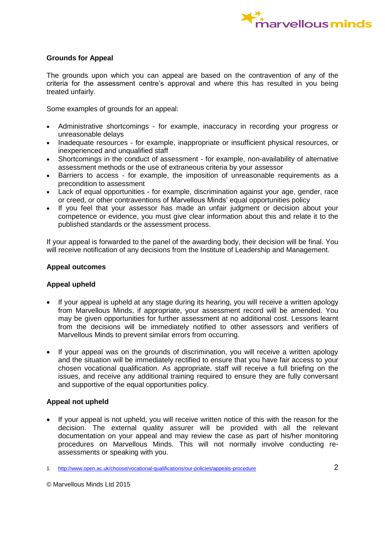

## **Grounds for Appeal**

The grounds upon which you can appeal are based on the contravention of any of the criteria for the assessment centre's approval and where this has resulted in you being treated unfairly.

Some examples of grounds for an appeal:

- Administrative shortcomings for example, inaccuracy in recording your progress or unreasonable delays
- Inadequate resources for example, inappropriate or insufficient physical resources, or inexperienced and unqualified staff
- Shortcomings in the conduct of assessment for example, non-availability of alternative assessment methods or the use of extraneous criteria by your assessor
- Barriers to access for example, the imposition of unreasonable requirements as a precondition to assessment
- Lack of equal opportunities for example, discrimination against your age, gender, race or creed, or other contraventions of Marvellous Minds' equal opportunities policy
- If you feel that your assessor has made an unfair judgment or decision about your competence or evidence, you must give clear information about this and relate it to the published standards or the assessment process.

If your appeal is forwarded to the panel of the awarding body, their decision will be final. You will receive notification of any decisions from the Institute of Leadership and Management.

## **Appeal outcomes**

#### **Appeal upheld**

- If your appeal is upheld at any stage during its hearing, you will receive a written apology from Marvellous Minds, if appropriate, your assessment record will be amended. You may be given opportunities for further assessment at no additional cost. Lessons learnt from the decisions will be immediately notified to other assessors and verifiers of Marvellous Minds to prevent similar errors from occurring.
- If your appeal was on the grounds of discrimination, you will receive a written apology and the situation will be immediately rectified to ensure that you have fair access to your chosen vocational qualification. As appropriate, staff will receive a full briefing on the issues, and receive any additional training required to ensure they are fully conversant and supportive of the equal opportunities policy.

## **Appeal not upheld**

 If your appeal is not upheld, you will receive written notice of this with the reason for the decision. The external quality assurer will be provided with all the relevant documentation on your appeal and may review the case as part of his/her monitoring procedures on Marvellous Minds. This will not normally involve conducting reassessments or speaking with you.

<sup>1.</sup> http://www.open.ac.uk/choose/vocational-qualifications/our-policies/appeals-procedure